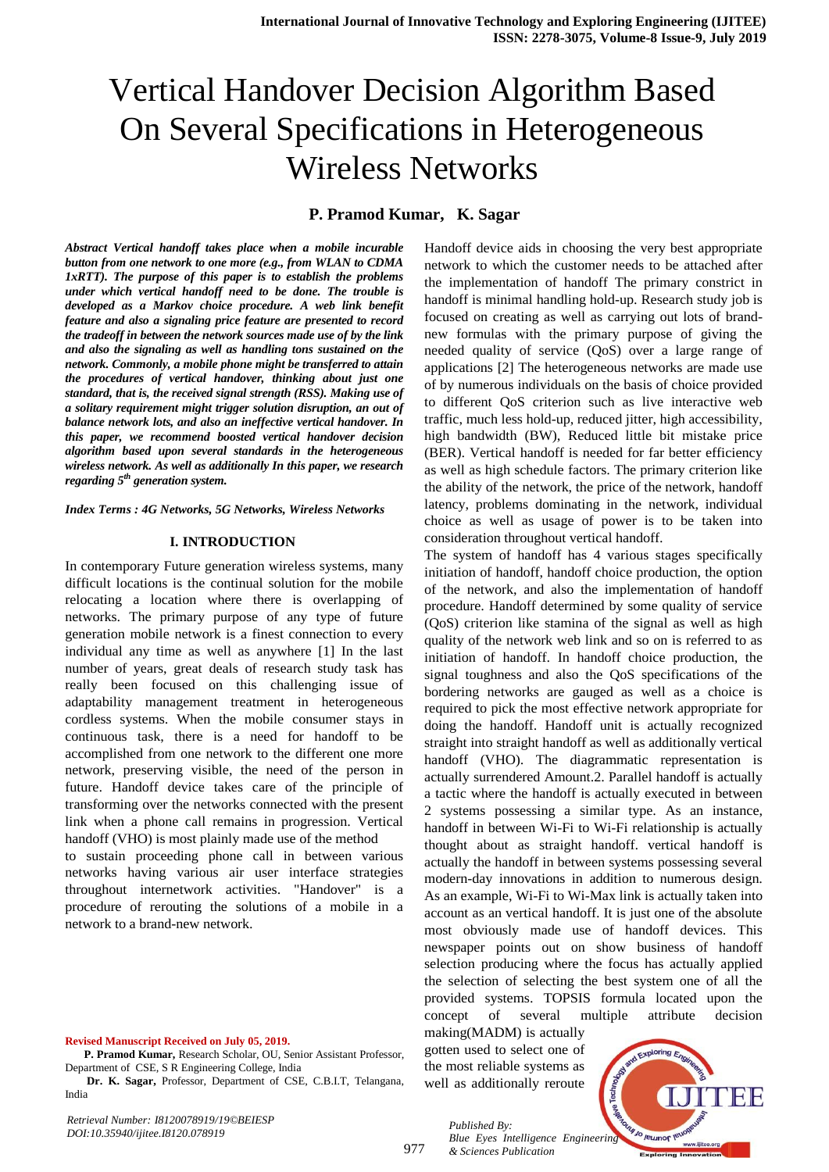# Vertical Handover Decision Algorithm Based On Several Specifications in Heterogeneous Wireless Networks

## **P. Pramod Kumar, K. Sagar**

*Abstract Vertical handoff takes place when a mobile incurable button from one network to one more (e.g., from WLAN to CDMA 1xRTT). The purpose of this paper is to establish the problems under which vertical handoff need to be done. The trouble is developed as a Markov choice procedure. A web link benefit feature and also a signaling price feature are presented to record the tradeoff in between the network sources made use of by the link and also the signaling as well as handling tons sustained on the network. Commonly, a mobile phone might be transferred to attain the procedures of vertical handover, thinking about just one standard, that is, the received signal strength (RSS). Making use of a solitary requirement might trigger solution disruption, an out of balance network lots, and also an ineffective vertical handover. In this paper, we recommend boosted vertical handover decision algorithm based upon several standards in the heterogeneous wireless network. As well as additionally In this paper, we research regarding 5th generation system.* 

*Index Terms : 4G Networks, 5G Networks, Wireless Networks*

### **I. INTRODUCTION**

In contemporary Future generation wireless systems, many difficult locations is the continual solution for the mobile relocating a location where there is overlapping of networks. The primary purpose of any type of future generation mobile network is a finest connection to every individual any time as well as anywhere [1] In the last number of years, great deals of research study task has really been focused on this challenging issue of adaptability management treatment in heterogeneous cordless systems. When the mobile consumer stays in continuous task, there is a need for handoff to be accomplished from one network to the different one more network, preserving visible, the need of the person in future. Handoff device takes care of the principle of transforming over the networks connected with the present link when a phone call remains in progression. Vertical handoff (VHO) is most plainly made use of the method

to sustain proceeding phone call in between various networks having various air user interface strategies throughout internetwork activities. "Handover" is a procedure of rerouting the solutions of a mobile in a network to a brand-new network.

#### **Revised Manuscript Received on July 05, 2019.**

**Dr. K. Sagar,** Professor, Department of CSE, C.B.I.T, Telangana, India

*Retrieval Number: I8120078919/19©BEIESP DOI:10.35940/ijitee.I8120.078919*

Handoff device aids in choosing the very best appropriate network to which the customer needs to be attached after the implementation of handoff The primary constrict in handoff is minimal handling hold-up. Research study job is focused on creating as well as carrying out lots of brandnew formulas with the primary purpose of giving the needed quality of service (QoS) over a large range of applications [2] The heterogeneous networks are made use of by numerous individuals on the basis of choice provided to different QoS criterion such as live interactive web traffic, much less hold-up, reduced jitter, high accessibility, high bandwidth (BW), Reduced little bit mistake price (BER). Vertical handoff is needed for far better efficiency as well as high schedule factors. The primary criterion like the ability of the network, the price of the network, handoff latency, problems dominating in the network, individual choice as well as usage of power is to be taken into consideration throughout vertical handoff.

The system of handoff has 4 various stages specifically initiation of handoff, handoff choice production, the option of the network, and also the implementation of handoff procedure. Handoff determined by some quality of service (QoS) criterion like stamina of the signal as well as high quality of the network web link and so on is referred to as initiation of handoff. In handoff choice production, the signal toughness and also the QoS specifications of the bordering networks are gauged as well as a choice is required to pick the most effective network appropriate for doing the handoff. Handoff unit is actually recognized straight into straight handoff as well as additionally vertical handoff (VHO). The diagrammatic representation is actually surrendered Amount.2. Parallel handoff is actually a tactic where the handoff is actually executed in between 2 systems possessing a similar type. As an instance, handoff in between Wi-Fi to Wi-Fi relationship is actually thought about as straight handoff. vertical handoff is actually the handoff in between systems possessing several modern-day innovations in addition to numerous design. As an example, Wi-Fi to Wi-Max link is actually taken into account as an vertical handoff. It is just one of the absolute most obviously made use of handoff devices. This newspaper points out on show business of handoff selection producing where the focus has actually applied the selection of selecting the best system one of all the provided systems. TOPSIS formula located upon the concept of several multiple attribute decision

making(MADM) is actually gotten used to select one of the most reliable systems as well as additionally reroute

*& Sciences Publication* 

*Published By:*



**P. Pramod Kumar,** Research Scholar, OU, Senior Assistant Professor, Department of CSE, S R Engineering College, India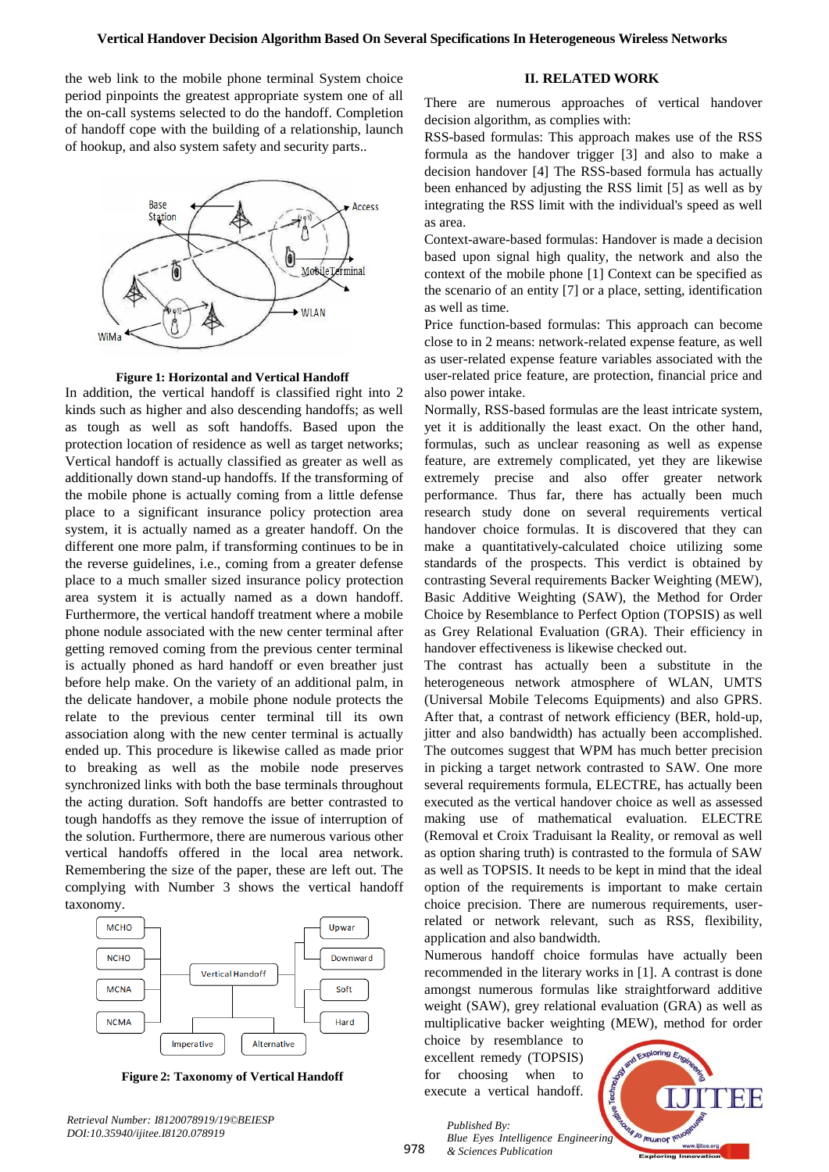the web link to the mobile phone terminal System choice period pinpoints the greatest appropriate system one of all the on-call systems selected to do the handoff. Completion of handoff cope with the building of a relationship, launch of hookup, and also system safety and security parts..



**Figure 1: Horizontal and Vertical Handoff**

In addition, the vertical handoff is classified right into 2 kinds such as higher and also descending handoffs; as well as tough as well as soft handoffs. Based upon the protection location of residence as well as target networks; Vertical handoff is actually classified as greater as well as additionally down stand-up handoffs. If the transforming of the mobile phone is actually coming from a little defense place to a significant insurance policy protection area system, it is actually named as a greater handoff. On the different one more palm, if transforming continues to be in the reverse guidelines, i.e., coming from a greater defense place to a much smaller sized insurance policy protection area system it is actually named as a down handoff. Furthermore, the vertical handoff treatment where a mobile phone nodule associated with the new center terminal after getting removed coming from the previous center terminal is actually phoned as hard handoff or even breather just before help make. On the variety of an additional palm, in the delicate handover, a mobile phone nodule protects the relate to the previous center terminal till its own association along with the new center terminal is actually ended up. This procedure is likewise called as made prior to breaking as well as the mobile node preserves synchronized links with both the base terminals throughout the acting duration. Soft handoffs are better contrasted to tough handoffs as they remove the issue of interruption of the solution. Furthermore, there are numerous various other vertical handoffs offered in the local area network. Remembering the size of the paper, these are left out. The complying with Number 3 shows the vertical handoff taxonomy.



**Figure 2: Taxonomy of Vertical Handoff**

*Retrieval Number: I8120078919/19©BEIESP DOI:10.35940/ijitee.I8120.078919*

## **II. RELATED WORK**

There are numerous approaches of vertical handover decision algorithm, as complies with:

RSS-based formulas: This approach makes use of the RSS formula as the handover trigger [3] and also to make a decision handover [4] The RSS-based formula has actually been enhanced by adjusting the RSS limit [5] as well as by integrating the RSS limit with the individual's speed as well as area.

Context-aware-based formulas: Handover is made a decision based upon signal high quality, the network and also the context of the mobile phone [1] Context can be specified as the scenario of an entity [7] or a place, setting, identification as well as time.

Price function-based formulas: This approach can become close to in 2 means: network-related expense feature, as well as user-related expense feature variables associated with the user-related price feature, are protection, financial price and also power intake.

Normally, RSS-based formulas are the least intricate system, yet it is additionally the least exact. On the other hand, formulas, such as unclear reasoning as well as expense feature, are extremely complicated, yet they are likewise extremely precise and also offer greater network performance. Thus far, there has actually been much research study done on several requirements vertical handover choice formulas. It is discovered that they can make a quantitatively-calculated choice utilizing some standards of the prospects. This verdict is obtained by contrasting Several requirements Backer Weighting (MEW), Basic Additive Weighting (SAW), the Method for Order Choice by Resemblance to Perfect Option (TOPSIS) as well as Grey Relational Evaluation (GRA). Their efficiency in handover effectiveness is likewise checked out.

The contrast has actually been a substitute in the heterogeneous network atmosphere of WLAN, UMTS (Universal Mobile Telecoms Equipments) and also GPRS. After that, a contrast of network efficiency (BER, hold-up, jitter and also bandwidth) has actually been accomplished. The outcomes suggest that WPM has much better precision in picking a target network contrasted to SAW. One more several requirements formula, ELECTRE, has actually been executed as the vertical handover choice as well as assessed making use of mathematical evaluation. ELECTRE (Removal et Croix Traduisant la Reality, or removal as well as option sharing truth) is contrasted to the formula of SAW as well as TOPSIS. It needs to be kept in mind that the ideal option of the requirements is important to make certain choice precision. There are numerous requirements, userrelated or network relevant, such as RSS, flexibility, application and also bandwidth.

Numerous handoff choice formulas have actually been recommended in the literary works in [1]. A contrast is done amongst numerous formulas like straightforward additive weight (SAW), grey relational evaluation (GRA) as well as multiplicative backer weighting (MEW), method for order

choice by resemblance to excellent remedy (TOPSIS) for choosing when to execute a vertical handoff.



*Published By: Blue Eyes Intelligence Engineering & Sciences Publication*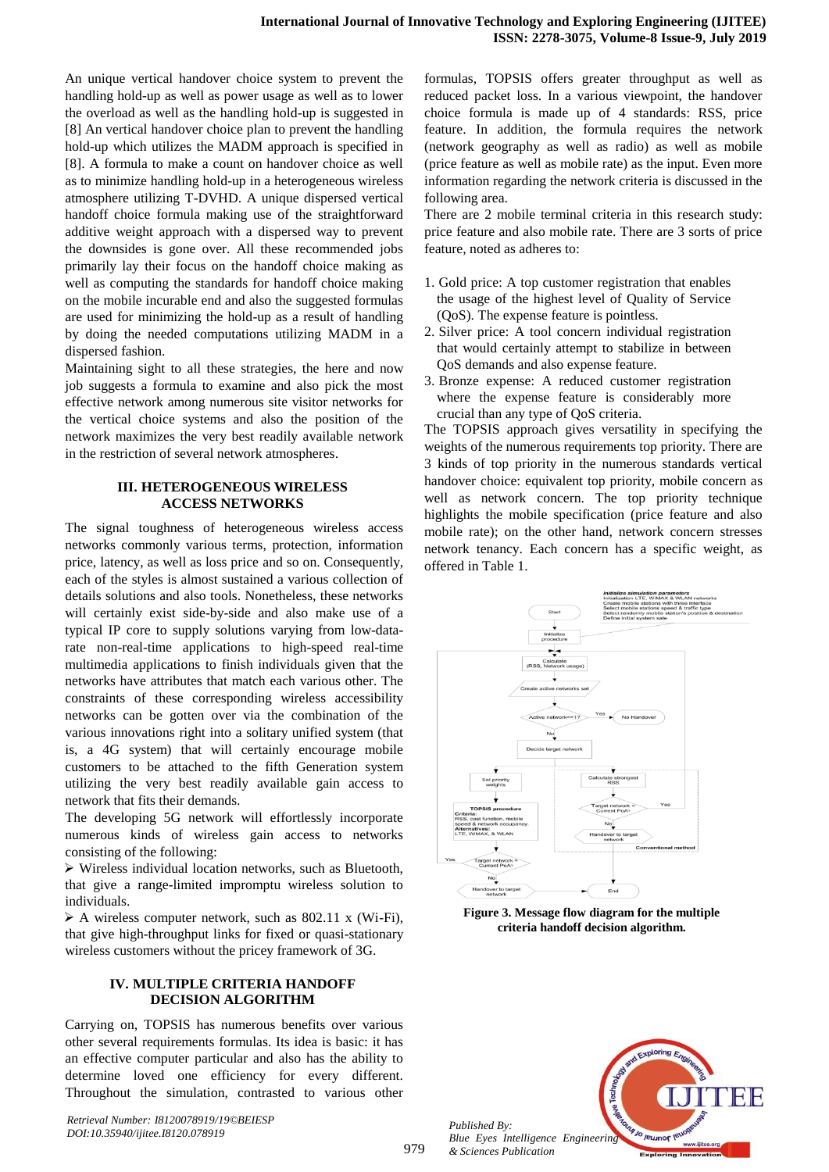An unique vertical handover choice system to prevent the handling hold-up as well as power usage as well as to lower the overload as well as the handling hold-up is suggested in [8] An vertical handover choice plan to prevent the handling hold-up which utilizes the MADM approach is specified in [8]. A formula to make a count on handover choice as well as to minimize handling hold-up in a heterogeneous wireless atmosphere utilizing T-DVHD. A unique dispersed vertical handoff choice formula making use of the straightforward additive weight approach with a dispersed way to prevent the downsides is gone over. All these recommended jobs primarily lay their focus on the handoff choice making as well as computing the standards for handoff choice making on the mobile incurable end and also the suggested formulas are used for minimizing the hold-up as a result of handling by doing the needed computations utilizing MADM in a dispersed fashion.

Maintaining sight to all these strategies, the here and now job suggests a formula to examine and also pick the most effective network among numerous site visitor networks for the vertical choice systems and also the position of the network maximizes the very best readily available network in the restriction of several network atmospheres.

## **III. HETEROGENEOUS WIRELESS ACCESS NETWORKS**

The signal toughness of heterogeneous wireless access networks commonly various terms, protection, information price, latency, as well as loss price and so on. Consequently, each of the styles is almost sustained a various collection of details solutions and also tools. Nonetheless, these networks will certainly exist side-by-side and also make use of a typical IP core to supply solutions varying from low-datarate non-real-time applications to high-speed real-time multimedia applications to finish individuals given that the networks have attributes that match each various other. The constraints of these corresponding wireless accessibility networks can be gotten over via the combination of the various innovations right into a solitary unified system (that is, a 4G system) that will certainly encourage mobile customers to be attached to the fifth Generation system utilizing the very best readily available gain access to network that fits their demands.

The developing 5G network will effortlessly incorporate numerous kinds of wireless gain access to networks consisting of the following:

 Wireless individual location networks, such as Bluetooth, that give a range-limited impromptu wireless solution to individuals.

 $\triangleright$  A wireless computer network, such as 802.11 x (Wi-Fi), that give high-throughput links for fixed or quasi-stationary wireless customers without the pricey framework of 3G.

## **IV. MULTIPLE CRITERIA HANDOFF DECISION ALGORITHM**

Carrying on, TOPSIS has numerous benefits over various other several requirements formulas. Its idea is basic: it has an effective computer particular and also has the ability to determine loved one efficiency for every different. Throughout the simulation, contrasted to various other

*Retrieval Number: I8120078919/19©BEIESP DOI:10.35940/ijitee.I8120.078919*

formulas, TOPSIS offers greater throughput as well as reduced packet loss. In a various viewpoint, the handover choice formula is made up of 4 standards: RSS, price feature. In addition, the formula requires the network (network geography as well as radio) as well as mobile (price feature as well as mobile rate) as the input. Even more information regarding the network criteria is discussed in the following area.

There are 2 mobile terminal criteria in this research study: price feature and also mobile rate. There are 3 sorts of price feature, noted as adheres to:

- 1. Gold price: A top customer registration that enables the usage of the highest level of Quality of Service (QoS). The expense feature is pointless.
- 2. Silver price: A tool concern individual registration that would certainly attempt to stabilize in between QoS demands and also expense feature.
- 3. Bronze expense: A reduced customer registration where the expense feature is considerably more crucial than any type of QoS criteria.

The TOPSIS approach gives versatility in specifying the weights of the numerous requirements top priority. There are 3 kinds of top priority in the numerous standards vertical handover choice: equivalent top priority, mobile concern as well as network concern. The top priority technique highlights the mobile specification (price feature and also mobile rate); on the other hand, network concern stresses network tenancy. Each concern has a specific weight, as offered in Table [1.](#page-2-0)

<span id="page-2-0"></span>

**Figure 3. Message flow diagram for the multiple criteria handoff decision algorithm.**



*Blue Eyes Intelligence Engineering & Sciences Publication* 

*Published By:*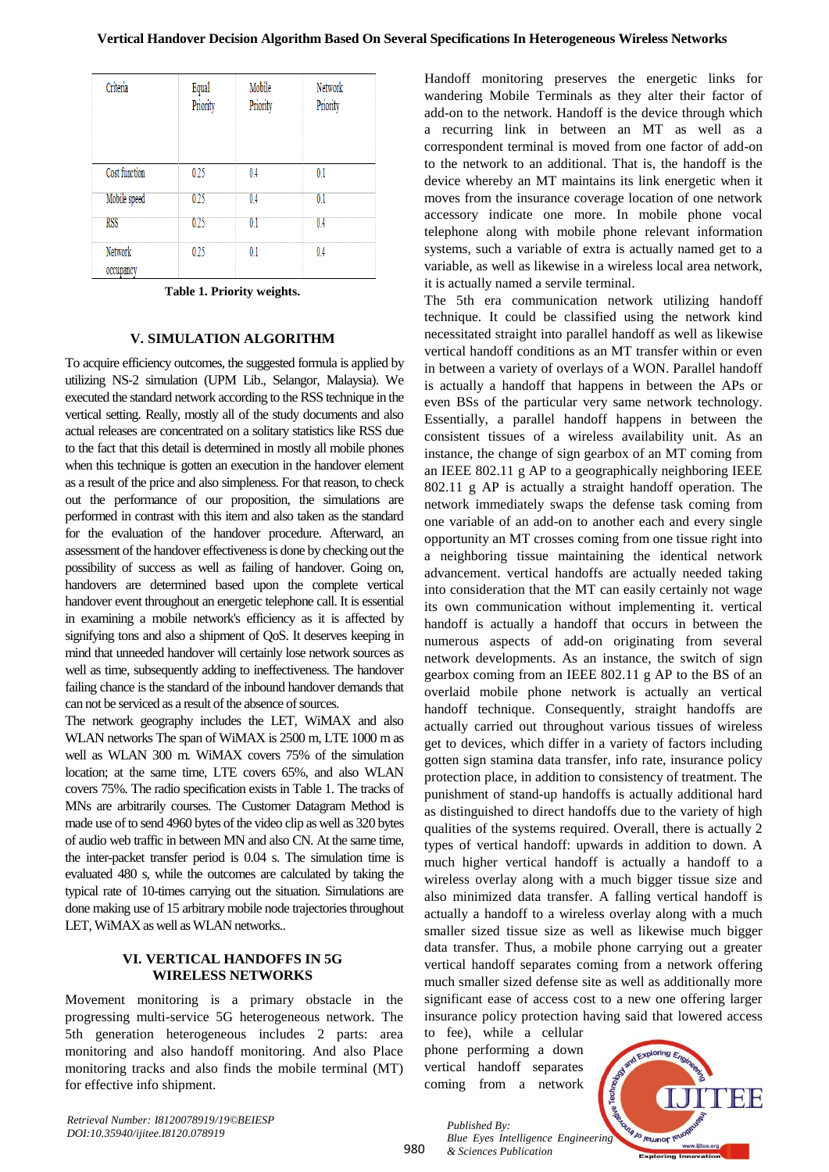| Criteria             | Equal<br>Priority | Mobile<br>Priority | Network<br>Priority |
|----------------------|-------------------|--------------------|---------------------|
| Cost function        | 0.25              | 04                 | 01                  |
| Mobile speed         | 025               | 0.4                | 0.1                 |
| <b>RSS</b>           | 0.25              | 0.                 | U 4                 |
| Network<br>occupancy | 0.25              | 01                 | 04                  |

**Table 1. Priority weights.**

## **V. SIMULATION ALGORITHM**

To acquire efficiency outcomes, the suggested formula is applied by utilizing NS-2 simulation (UPM Lib., Selangor, Malaysia). We executed the standard network according to the RSS technique in the vertical setting. Really, mostly all of the study documents and also actual releases are concentrated on a solitary statistics like RSS due to the fact that this detail is determined in mostly all mobile phones when this technique is gotten an execution in the handover element as a result of the price and also simpleness. For that reason, to check out the performance of our proposition, the simulations are performed in contrast with this item and also taken as the standard for the evaluation of the handover procedure. Afterward, an assessment of the handover effectiveness is done by checking out the possibility of success as well as failing of handover. Going on, handovers are determined based upon the complete vertical handover event throughout an energetic telephone call. It is essential in examining a mobile network's efficiency as it is affected by signifying tons and also a shipment of QoS. It deserves keeping in mind that unneeded handover will certainly lose network sources as well as time, subsequently adding to ineffectiveness. The handover failing chance is the standard of the inbound handover demands that can not be serviced as a result of the absence of sources.

The network geography includes the LET, WiMAX and also WLAN networks The span of WiMAX is 2500 m, LTE 1000 m as well as WLAN 300 m. WiMAX covers 75% of the simulation location; at the same time, LTE covers 65%, and also WLAN covers 75%. The radio specification exists in Table 1. The tracks of MNs are arbitrarily courses. The Customer Datagram Method is made use of to send 4960 bytes of the video clip as well as 320 bytes of audio web traffic in between MN and also CN. At the same time, the inter-packet transfer period is 0.04 s. The simulation time is evaluated 480 s, while the outcomes are calculated by taking the typical rate of 10-times carrying out the situation. Simulations are done making use of 15 arbitrary mobile node trajectories throughout LET, WiMAX as well as WLAN networks..

### **VI. VERTICAL HANDOFFS IN 5G WIRELESS NETWORKS**

Movement monitoring is a primary obstacle in the progressing multi-service 5G heterogeneous network. The 5th generation heterogeneous includes 2 parts: area monitoring and also handoff monitoring. And also Place monitoring tracks and also finds the mobile terminal (MT) for effective info shipment.

Handoff monitoring preserves the energetic links for wandering Mobile Terminals as they alter their factor of add-on to the network. Handoff is the device through which a recurring link in between an MT as well as a correspondent terminal is moved from one factor of add-on to the network to an additional. That is, the handoff is the device whereby an MT maintains its link energetic when it moves from the insurance coverage location of one network accessory indicate one more. In mobile phone vocal telephone along with mobile phone relevant information systems, such a variable of extra is actually named get to a variable, as well as likewise in a wireless local area network, it is actually named a servile terminal.

The 5th era communication network utilizing handoff technique. It could be classified using the network kind necessitated straight into parallel handoff as well as likewise vertical handoff conditions as an MT transfer within or even in between a variety of overlays of a WON. Parallel handoff is actually a handoff that happens in between the APs or even BSs of the particular very same network technology. Essentially, a parallel handoff happens in between the consistent tissues of a wireless availability unit. As an instance, the change of sign gearbox of an MT coming from an IEEE 802.11 g AP to a geographically neighboring IEEE 802.11 g AP is actually a straight handoff operation. The network immediately swaps the defense task coming from one variable of an add-on to another each and every single opportunity an MT crosses coming from one tissue right into a neighboring tissue maintaining the identical network advancement. vertical handoffs are actually needed taking into consideration that the MT can easily certainly not wage its own communication without implementing it. vertical handoff is actually a handoff that occurs in between the numerous aspects of add-on originating from several network developments. As an instance, the switch of sign gearbox coming from an IEEE 802.11 g AP to the BS of an overlaid mobile phone network is actually an vertical handoff technique. Consequently, straight handoffs are actually carried out throughout various tissues of wireless get to devices, which differ in a variety of factors including gotten sign stamina data transfer, info rate, insurance policy protection place, in addition to consistency of treatment. The punishment of stand-up handoffs is actually additional hard as distinguished to direct handoffs due to the variety of high qualities of the systems required. Overall, there is actually 2 types of vertical handoff: upwards in addition to down. A much higher vertical handoff is actually a handoff to a wireless overlay along with a much bigger tissue size and also minimized data transfer. A falling vertical handoff is actually a handoff to a wireless overlay along with a much smaller sized tissue size as well as likewise much bigger data transfer. Thus, a mobile phone carrying out a greater vertical handoff separates coming from a network offering much smaller sized defense site as well as additionally more significant ease of access cost to a new one offering larger insurance policy protection having said that lowered access

to fee), while a cellular phone performing a down vertical handoff separates coming from a network

*& Sciences Publication* 

*Published By:*



*Retrieval Number: I8120078919/19©BEIESP DOI:10.35940/ijitee.I8120.078919*

980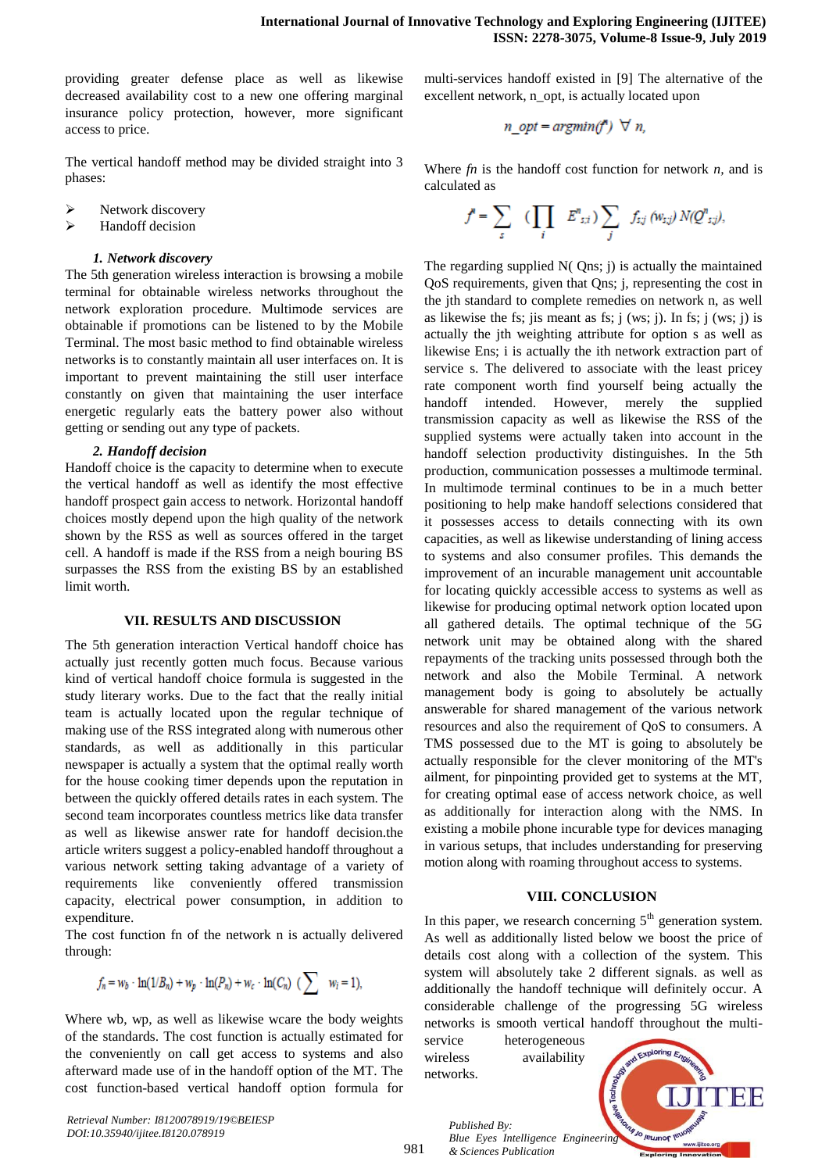providing greater defense place as well as likewise decreased availability cost to a new one offering marginal insurance policy protection, however, more significant access to price.

The vertical handoff method may be divided straight into 3 phases:

- Network discovery
- $\triangleright$  Handoff decision

#### *1. Network discovery*

The 5th generation wireless interaction is browsing a mobile terminal for obtainable wireless networks throughout the network exploration procedure. Multimode services are obtainable if promotions can be listened to by the Mobile Terminal. The most basic method to find obtainable wireless networks is to constantly maintain all user interfaces on. It is important to prevent maintaining the still user interface constantly on given that maintaining the user interface energetic regularly eats the battery power also without getting or sending out any type of packets.

#### *2. Handoff decision*

Handoff choice is the capacity to determine when to execute the vertical handoff as well as identify the most effective handoff prospect gain access to network. Horizontal handoff choices mostly depend upon the high quality of the network shown by the RSS as well as sources offered in the target cell. A handoff is made if the RSS from a neigh bouring BS surpasses the RSS from the existing BS by an established limit worth.

#### **VII. RESULTS AND DISCUSSION**

The 5th generation interaction Vertical handoff choice has actually just recently gotten much focus. Because various kind of vertical handoff choice formula is suggested in the study literary works. Due to the fact that the really initial team is actually located upon the regular technique of making use of the RSS integrated along with numerous other standards, as well as additionally in this particular newspaper is actually a system that the optimal really worth for the house cooking timer depends upon the reputation in between the quickly offered details rates in each system. The second team incorporates countless metrics like data transfer as well as likewise answer rate for handoff decision.the article writers suggest a policy-enabled handoff throughout a various network setting taking advantage of a variety of requirements like conveniently offered transmission capacity, electrical power consumption, in addition to expenditure.

The cost function fn of the network n is actually delivered through:

$$
f_n=w_b\cdot \ln(1/B_n)+w_p\cdot \ln(P_n)+w_c\cdot \ln(C_n)\;\;(\sum\quad w_i=1),
$$

Where wb, wp, as well as likewise wcare the body weights of the standards. The cost function is actually estimated for the conveniently on call get access to systems and also afterward made use of in the handoff option of the MT. The cost function-based vertical handoff option formula for

*Retrieval Number: I8120078919/19©BEIESP DOI:10.35940/ijitee.I8120.078919*

multi-services handoff existed in [9] The alternative of the excellent network, n\_opt, is actually located upon

$$
n\_opt = argmin(f^*) \ \forall \ n,
$$

Where *fn* is the handoff cost function for network *n,* and is calculated as

$$
f^{\scriptscriptstyle B} = \sum_{s} \quad (\prod_{i} \quad E^{\scriptscriptstyle B}{}_{s,i}) \sum_{j} \quad f_{s,j} \, (\textit{w}_{s,j}) \, N(Q^{\scriptscriptstyle B}{}_{s,j}),
$$

The regarding supplied N( Qns; j) is actually the maintained QoS requirements, given that Qns; j, representing the cost in the jth standard to complete remedies on network n, as well as likewise the fs; jis meant as fs;  $j$  (ws;  $j$ ). In fs;  $j$  (ws;  $j$ ) is actually the jth weighting attribute for option s as well as likewise Ens; i is actually the ith network extraction part of service s. The delivered to associate with the least pricey rate component worth find yourself being actually the handoff intended. However, merely the supplied transmission capacity as well as likewise the RSS of the supplied systems were actually taken into account in the handoff selection productivity distinguishes. In the 5th production, communication possesses a multimode terminal. In multimode terminal continues to be in a much better positioning to help make handoff selections considered that it possesses access to details connecting with its own capacities, as well as likewise understanding of lining access to systems and also consumer profiles. This demands the improvement of an incurable management unit accountable for locating quickly accessible access to systems as well as likewise for producing optimal network option located upon all gathered details. The optimal technique of the 5G network unit may be obtained along with the shared repayments of the tracking units possessed through both the network and also the Mobile Terminal. A network management body is going to absolutely be actually answerable for shared management of the various network resources and also the requirement of QoS to consumers. A TMS possessed due to the MT is going to absolutely be actually responsible for the clever monitoring of the MT's ailment, for pinpointing provided get to systems at the MT, for creating optimal ease of access network choice, as well as additionally for interaction along with the NMS. In existing a mobile phone incurable type for devices managing in various setups, that includes understanding for preserving motion along with roaming throughout access to systems.

## **VIII. CONCLUSION**

In this paper, we research concerning  $5<sup>th</sup>$  generation system. As well as additionally listed below we boost the price of details cost along with a collection of the system. This system will absolutely take 2 different signals. as well as additionally the handoff technique will definitely occur. A considerable challenge of the progressing 5G wireless networks is smooth vertical handoff throughout the multi-

service heterogeneous wireless availability networks.



*Published By: Blue Eyes Intelligence Engineering & Sciences Publication*